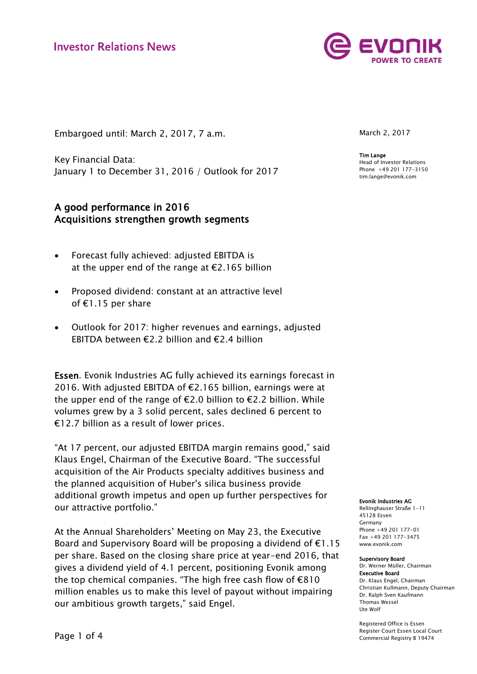

Embargoed until: March 2, 2017, 7 a.m.

Key Financial Data: January 1 to December 31, 2016 / Outlook for 2017

## A good performance in 2016 Acquisitions strengthen growth segments

- Forecast fully achieved: adjusted EBITDA is at the upper end of the range at  $E$ 2.165 billion
- Proposed dividend: constant at an attractive level of €1.15 per share
- Outlook for 2017: higher revenues and earnings, adjusted EBITDA between €2.2 billion and €2.4 billion

Essen. Evonik Industries AG fully achieved its earnings forecast in 2016. With adjusted EBITDA of €2.165 billion, earnings were at the upper end of the range of  $E$ 2.0 billion to  $E$ 2.2 billion. While volumes grew by a 3 solid percent, sales declined 6 percent to €12.7 billion as a result of lower prices.

"At 17 percent, our adjusted EBITDA margin remains good," said Klaus Engel, Chairman of the Executive Board. "The successful acquisition of the Air Products specialty additives business and the planned acquisition of Huber's silica business provide additional growth impetus and open up further perspectives for our attractive portfolio."

At the Annual Shareholders' Meeting on May 23, the Executive Board and Supervisory Board will be proposing a dividend of  $E1.15$ per share. Based on the closing share price at year-end 2016, that gives a dividend yield of 4.1 percent, positioning Evonik among the top chemical companies. "The high free cash flow of €810 million enables us to make this level of payout without impairing our ambitious growth targets," said Engel.

March 2, 2017

Tim Lange Head of Investor Relations Phone +49 201 177-3150 tim.lange@evonik.com

#### Evonik Industries AG

Rellinghauser Straße 1-11 45128 Essen Germany Phone +49 201 177-01 Fax +49 201 177-3475 www.evonik.com

#### Supervisory Board

Dr. Werner Müller, Chairman Executive Board Dr. Klaus Engel, Chairman Christian Kullmann, Deputy Chairman Dr. Ralph Sven Kaufmann Thomas Wessel Ute Wolf

Registered Office is Essen Register Court Essen Local Court Commercial Registry B 19474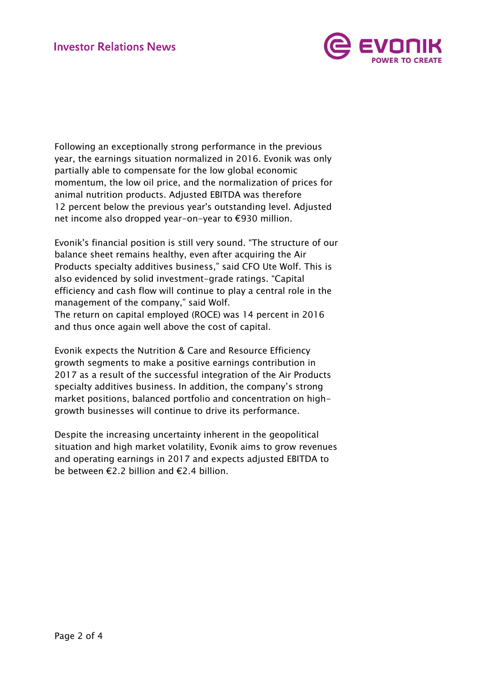

Following an exceptionally strong performance in the previous year, the earnings situation normalized in 2016. Evonik was only partially able to compensate for the low global economic momentum, the low oil price, and the normalization of prices for animal nutrition products. Adjusted EBITDA was therefore 12 percent below the previous year's outstanding level. Adjusted net income also dropped year-on-year to €930 million.

Evonik's financial position is still very sound. "The structure of our balance sheet remains healthy, even after acquiring the Air Products specialty additives business," said CFO Ute Wolf. This is also evidenced by solid investment-grade ratings. "Capital efficiency and cash flow will continue to play a central role in the management of the company," said Wolf. The return on capital employed (ROCE) was 14 percent in 2016 and thus once again well above the cost of capital.

Evonik expects the Nutrition & Care and Resource Efficiency growth segments to make a positive earnings contribution in 2017 as a result of the successful integration of the Air Products specialty additives business. In addition, the company's strong market positions, balanced portfolio and concentration on highgrowth businesses will continue to drive its performance.

Despite the increasing uncertainty inherent in the geopolitical situation and high market volatility, Evonik aims to grow revenues and operating earnings in 2017 and expects adjusted EBITDA to be between €2.2 billion and €2.4 billion.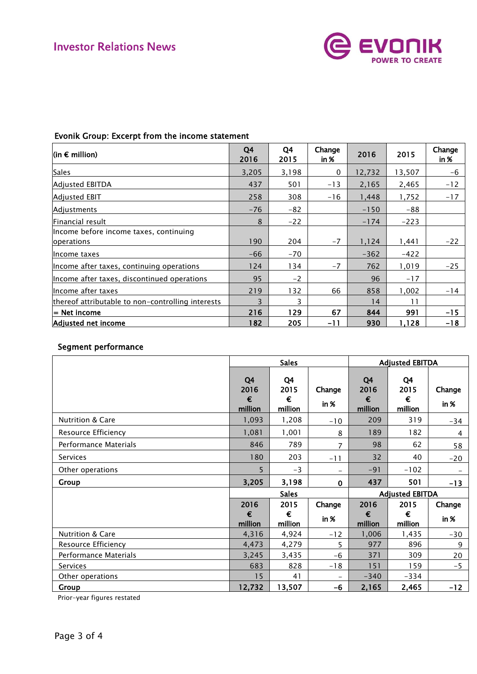

| $ $ (in € million)                                | Q4<br>2016 | Q4<br>2015 | Change<br>in $%$ | 2016   | 2015   | Change<br>in % |
|---------------------------------------------------|------------|------------|------------------|--------|--------|----------------|
| <b>Sales</b>                                      | 3,205      | 3,198      | 0                | 12,732 | 13,507 | -6             |
| Adjusted EBITDA                                   | 437        | 501        | $-13$            | 2,165  | 2,465  | $-12$          |
| <b>Adjusted EBIT</b>                              | 258        | 308        | $-16$            | 1,448  | 1,752  | $-17$          |
| Adjustments                                       | $-76$      | -82        |                  | $-150$ | -88    |                |
| Financial result                                  | 8          | $-22$      |                  | $-174$ | $-223$ |                |
| Income before income taxes, continuing            |            |            |                  |        |        |                |
| operations                                        | 190        | 204        | $-7$             | 1,124  | 1,441  | $-22$          |
| Income taxes                                      | $-66$      | $-70$      |                  | $-362$ | $-422$ |                |
| Income after taxes, continuing operations         | 124        | 134        | $-7$             | 762    | 1,019  | $-25$          |
| Income after taxes, discontinued operations       | 95         | $-2$       |                  | 96     | $-17$  |                |
| llncome after taxes                               | 219        | 132        | 66               | 858    | 1,002  | $-14$          |
| thereof attributable to non-controlling interests | 3          | 3          |                  | 14     | 11     |                |
| $=$ Net income                                    | 216        | 129        | 67               | 844    | 991    | $-15$          |
| Adjusted net income                               | 182        | 205        | $-11$            | 930    | 1,128  | -18            |

# Evonik Group: Excerpt from the income statement

# Segment performance

|                              |                            | <b>Sales</b>               |                          |                            | <b>Adjusted EBITDA</b>     |                |  |
|------------------------------|----------------------------|----------------------------|--------------------------|----------------------------|----------------------------|----------------|--|
|                              | Q4<br>2016<br>€<br>million | Q4<br>2015<br>€<br>million | Change<br>in %           | Q4<br>2016<br>€<br>million | Q4<br>2015<br>€<br>million | Change<br>in % |  |
| <b>Nutrition &amp; Care</b>  | 1,093                      | 1,208                      | $-10$                    | 209                        | 319                        | $-34$          |  |
| Resource Efficiency          | 1,081                      | 1,001                      | 8                        | 189                        | 182                        | 4              |  |
| <b>Performance Materials</b> | 846                        | 789                        | 7                        | 98                         | 62                         | 58             |  |
| <b>Services</b>              | 180                        | 203                        | $-11$                    | 32                         | 40                         | $-20$          |  |
| Other operations             | 5                          | $-3$                       | $\overline{\phantom{0}}$ | $-91$                      | $-102$                     |                |  |
| Group                        | 3,205                      | 3,198                      | $\mathbf 0$              | 437                        | 501                        | $-13$          |  |
|                              |                            | <b>Sales</b>               |                          |                            | <b>Adjusted EBITDA</b>     |                |  |
|                              | 2016                       | 2015                       | Change                   | 2016                       | 2015                       | Change         |  |
|                              | €<br>million               | €<br>million               | in $\%$                  | €<br>million               | €<br>million               | in %           |  |
| Nutrition & Care             | 4,316                      | 4,924                      | $-12$                    | 1,006                      | 1,435                      | $-30$          |  |
| Resource Efficiency          | 4,473                      | 4,279                      | 5                        | 977                        | 896                        | 9              |  |
| Performance Materials        | 3,245                      | 3,435                      | $-6$                     | 371                        | 309                        | 20             |  |
| <b>Services</b>              | 683                        | 828                        | $-18$                    | 151                        | 159                        | $-5$           |  |
| Other operations             | 15                         | 41                         | $\overline{\phantom{0}}$ | $-340$                     | -334                       |                |  |
| Group                        | 12,732                     | 13,507                     | -6                       | 2,165                      | 2,465                      | $-12$          |  |

Prior-year figures restated